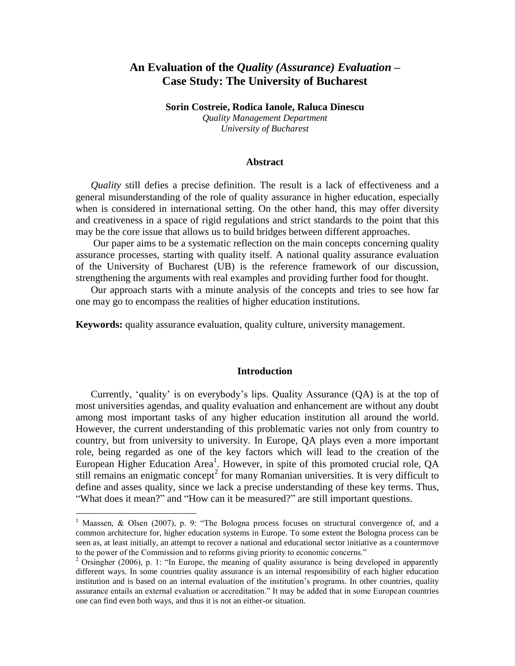# **An Evaluation of the** *Quality (Assurance) Evaluation* **– Case Study: The University of Bucharest**

**Sorin Costreie, Rodica Ianole, Raluca Dinescu** *Quality Management Department University of Bucharest*

### **Abstract**

*Quality* still defies a precise definition. The result is a lack of effectiveness and a general misunderstanding of the role of quality assurance in higher education, especially when is considered in international setting. On the other hand, this may offer diversity and creativeness in a space of rigid regulations and strict standards to the point that this may be the core issue that allows us to build bridges between different approaches.

Our paper aims to be a systematic reflection on the main concepts concerning quality assurance processes, starting with quality itself. A national quality assurance evaluation of the University of Bucharest (UB) is the reference framework of our discussion, strengthening the arguments with real examples and providing further food for thought.

Our approach starts with a minute analysis of the concepts and tries to see how far one may go to encompass the realities of higher education institutions.

**Keywords:** quality assurance evaluation, quality culture, university management.

#### **Introduction**

Currently, "quality" is on everybody"s lips. Quality Assurance (QA) is at the top of most universities agendas, and quality evaluation and enhancement are without any doubt among most important tasks of any higher education institution all around the world. However, the current understanding of this problematic varies not only from country to country, but from university to university. In Europe, QA plays even a more important role, being regarded as one of the key factors which will lead to the creation of the European Higher Education Area<sup>1</sup>. However, in spite of this promoted crucial role, QA still remains an enigmatic concept<sup>2</sup> for many Romanian universities. It is very difficult to define and asses quality, since we lack a precise understanding of these key terms. Thus, "What does it mean?" and "How can it be measured?" are still important questions.

<sup>&</sup>lt;sup>1</sup> Maassen, & Olsen (2007), p. 9: "The Bologna process focuses on structural convergence of, and a common architecture for, higher education systems in Europe. To some extent the Bologna process can be seen as, at least initially, an attempt to recover a national and educational sector initiative as a countermove to the power of the Commission and to reforms giving priority to economic concerns."

<sup>&</sup>lt;sup>2</sup> Orsingher (2006), p. 1: "In Europe, the meaning of quality assurance is being developed in apparently different ways. In some countries quality assurance is an internal responsibility of each higher education institution and is based on an internal evaluation of the institution"s programs. In other countries, quality assurance entails an external evaluation or accreditation." It may be added that in some European countries one can find even both ways, and thus it is not an either-or situation.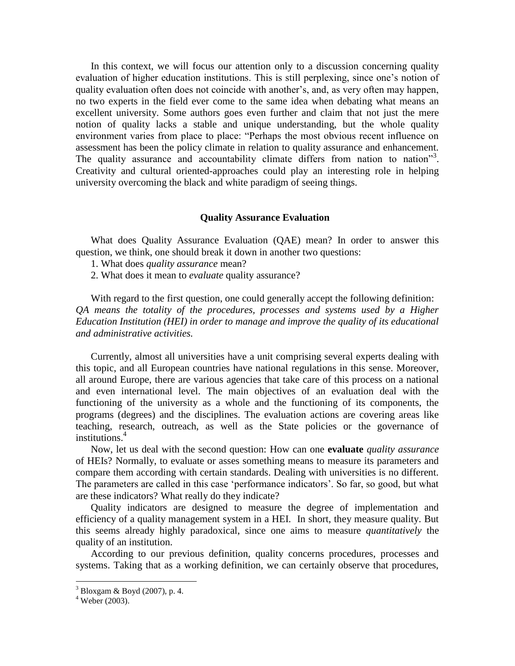In this context, we will focus our attention only to a discussion concerning quality evaluation of higher education institutions. This is still perplexing, since one's notion of quality evaluation often does not coincide with another"s, and, as very often may happen, no two experts in the field ever come to the same idea when debating what means an excellent university. Some authors goes even further and claim that not just the mere notion of quality lacks a stable and unique understanding, but the whole quality environment varies from place to place: "Perhaps the most obvious recent influence on assessment has been the policy climate in relation to quality assurance and enhancement. The quality assurance and accountability climate differs from nation to nation"<sup>3</sup>. Creativity and cultural oriented-approaches could play an interesting role in helping university overcoming the black and white paradigm of seeing things.

### **Quality Assurance Evaluation**

What does Quality Assurance Evaluation (QAE) mean? In order to answer this question, we think, one should break it down in another two questions:

1. What does *quality assurance* mean?

2. What does it mean to *evaluate* quality assurance?

With regard to the first question, one could generally accept the following definition: *QA means the totality of the procedures, processes and systems used by a Higher Education Institution (HEI) in order to manage and improve the quality of its educational and administrative activities.*

Currently, almost all universities have a unit comprising several experts dealing with this topic, and all European countries have national regulations in this sense. Moreover, all around Europe, there are various agencies that take care of this process on a national and even international level. The main objectives of an evaluation deal with the functioning of the university as a whole and the functioning of its components, the programs (degrees) and the disciplines. The evaluation actions are covering areas like teaching, research, outreach, as well as the State policies or the governance of institutions. $4$ 

Now, let us deal with the second question: How can one **evaluate** *quality assurance* of HEIs? Normally, to evaluate or asses something means to measure its parameters and compare them according with certain standards. Dealing with universities is no different. The parameters are called in this case 'performance indicators'. So far, so good, but what are these indicators? What really do they indicate?

Quality indicators are designed to measure the degree of implementation and efficiency of a quality management system in a HEI. In short, they measure quality. But this seems already highly paradoxical, since one aims to measure *quantitatively* the quality of an institution.

According to our previous definition, quality concerns procedures, processes and systems. Taking that as a working definition, we can certainly observe that procedures,

 $3$  Bloxgam & Boyd (2007), p. 4.

 $4$  Weber (2003).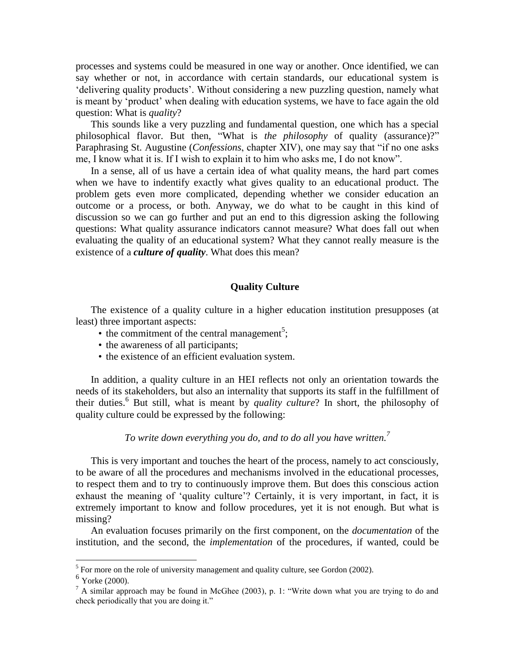processes and systems could be measured in one way or another. Once identified, we can say whether or not, in accordance with certain standards, our educational system is "delivering quality products". Without considering a new puzzling question, namely what is meant by "product" when dealing with education systems, we have to face again the old question: What is *quality*?

This sounds like a very puzzling and fundamental question, one which has a special philosophical flavor. But then, "What is *the philosophy* of quality (assurance)?" Paraphrasing St. Augustine (*Confessions*, chapter XIV), one may say that "if no one asks me, I know what it is. If I wish to explain it to him who asks me, I do not know".

In a sense, all of us have a certain idea of what quality means, the hard part comes when we have to indentify exactly what gives quality to an educational product. The problem gets even more complicated, depending whether we consider education an outcome or a process, or both. Anyway, we do what to be caught in this kind of discussion so we can go further and put an end to this digression asking the following questions: What quality assurance indicators cannot measure? What does fall out when evaluating the quality of an educational system? What they cannot really measure is the existence of a *culture of quality*. What does this mean?

### **Quality Culture**

The existence of a quality culture in a higher education institution presupposes (at least) three important aspects:

- $\bullet$  the commitment of the central management<sup>5</sup>;
- the awareness of all participants;
- the existence of an efficient evaluation system.

In addition, a quality culture in an HEI reflects not only an orientation towards the needs of its stakeholders, but also an internality that supports its staff in the fulfillment of their duties.<sup>6</sup> But still, what is meant by *quality culture*? In short, the philosophy of quality culture could be expressed by the following:

*To write down everything you do, and to do all you have written. 7*

This is very important and touches the heart of the process, namely to act consciously, to be aware of all the procedures and mechanisms involved in the educational processes, to respect them and to try to continuously improve them. But does this conscious action exhaust the meaning of 'quality culture'? Certainly, it is very important, in fact, it is extremely important to know and follow procedures, yet it is not enough. But what is missing?

An evaluation focuses primarily on the first component, on the *documentation* of the institution, and the second, the *implementation* of the procedures, if wanted, could be

<sup>&</sup>lt;sup>5</sup> For more on the role of university management and quality culture, see Gordon (2002).

<sup>&</sup>lt;sup>6</sup> Yorke (2000).

 $<sup>7</sup>$  A similar approach may be found in McGhee (2003), p. 1: "Write down what you are trying to do and</sup> check periodically that you are doing it."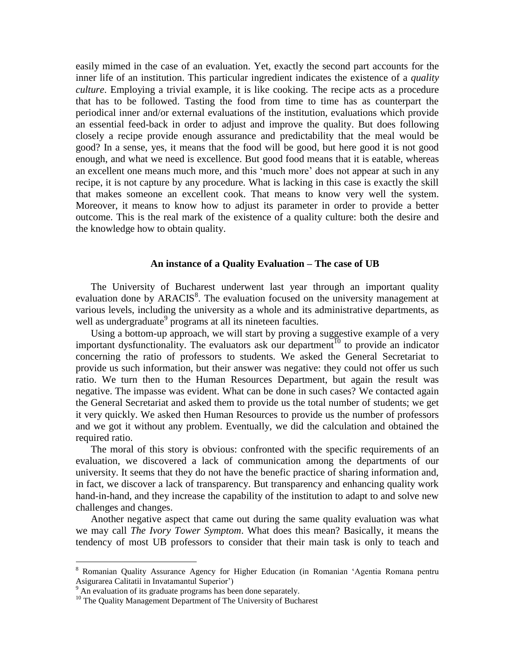easily mimed in the case of an evaluation. Yet, exactly the second part accounts for the inner life of an institution. This particular ingredient indicates the existence of a *quality culture*. Employing a trivial example, it is like cooking. The recipe acts as a procedure that has to be followed. Tasting the food from time to time has as counterpart the periodical inner and/or external evaluations of the institution, evaluations which provide an essential feed-back in order to adjust and improve the quality. But does following closely a recipe provide enough assurance and predictability that the meal would be good? In a sense, yes, it means that the food will be good, but here good it is not good enough, and what we need is excellence. But good food means that it is eatable, whereas an excellent one means much more, and this "much more" does not appear at such in any recipe, it is not capture by any procedure. What is lacking in this case is exactly the skill that makes someone an excellent cook. That means to know very well the system. Moreover, it means to know how to adjust its parameter in order to provide a better outcome. This is the real mark of the existence of a quality culture: both the desire and the knowledge how to obtain quality.

### **An instance of a Quality Evaluation – The case of UB**

The University of Bucharest underwent last year through an important quality evaluation done by ARACIS<sup>8</sup>. The evaluation focused on the university management at various levels, including the university as a whole and its administrative departments, as well as undergraduate<sup>9</sup> programs at all its nineteen faculties.

Using a bottom-up approach, we will start by proving a suggestive example of a very important dysfunctionality. The evaluators ask our department<sup> $10$ </sup> to provide an indicator concerning the ratio of professors to students. We asked the General Secretariat to provide us such information, but their answer was negative: they could not offer us such ratio. We turn then to the Human Resources Department, but again the result was negative. The impasse was evident. What can be done in such cases? We contacted again the General Secretariat and asked them to provide us the total number of students; we get it very quickly. We asked then Human Resources to provide us the number of professors and we got it without any problem. Eventually, we did the calculation and obtained the required ratio.

The moral of this story is obvious: confronted with the specific requirements of an evaluation, we discovered a lack of communication among the departments of our university. It seems that they do not have the benefic practice of sharing information and, in fact, we discover a lack of transparency. But transparency and enhancing quality work hand-in-hand, and they increase the capability of the institution to adapt to and solve new challenges and changes.

Another negative aspect that came out during the same quality evaluation was what we may call *The Ivory Tower Symptom*. What does this mean? Basically, it means the tendency of most UB professors to consider that their main task is only to teach and

<sup>8</sup> Romanian Quality Assurance Agency for Higher Education (in Romanian "Agentia Romana pentru Asigurarea Calitatii in Invatamantul Superior")

 $9<sup>9</sup>$  An evaluation of its graduate programs has been done separately.

<sup>&</sup>lt;sup>10</sup> The Quality Management Department of The University of Bucharest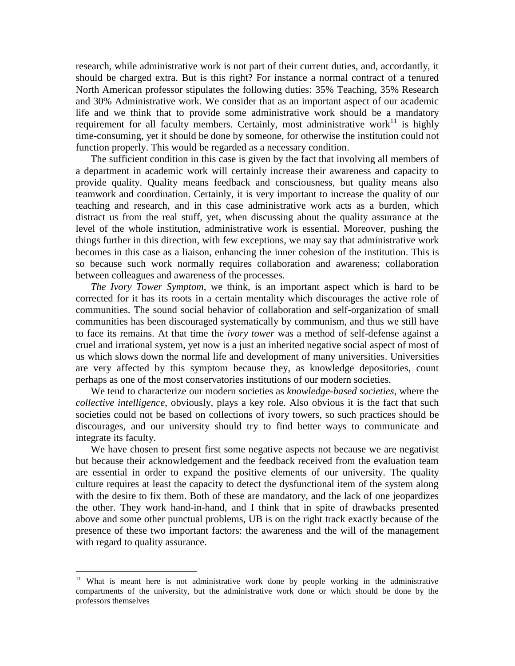research, while administrative work is not part of their current duties, and, accordantly, it should be charged extra. But is this right? For instance a normal contract of a tenured North American professor stipulates the following duties: 35% Teaching, 35% Research and 30% Administrative work. We consider that as an important aspect of our academic life and we think that to provide some administrative work should be a mandatory requirement for all faculty members. Certainly, most administrative work<sup>11</sup> is highly time-consuming, yet it should be done by someone, for otherwise the institution could not function properly. This would be regarded as a necessary condition.

The sufficient condition in this case is given by the fact that involving all members of a department in academic work will certainly increase their awareness and capacity to provide quality. Quality means feedback and consciousness, but quality means also teamwork and coordination. Certainly, it is very important to increase the quality of our teaching and research, and in this case administrative work acts as a burden, which distract us from the real stuff, yet, when discussing about the quality assurance at the level of the whole institution, administrative work is essential. Moreover, pushing the things further in this direction, with few exceptions, we may say that administrative work becomes in this case as a liaison, enhancing the inner cohesion of the institution. This is so because such work normally requires collaboration and awareness; collaboration between colleagues and awareness of the processes.

*The Ivory Tower Symptom*, we think, is an important aspect which is hard to be corrected for it has its roots in a certain mentality which discourages the active role of communities. The sound social behavior of collaboration and self-organization of small communities has been discouraged systematically by communism, and thus we still have to face its remains. At that time the *ivory tower* was a method of self-defense against a cruel and irrational system, yet now is a just an inherited negative social aspect of most of us which slows down the normal life and development of many universities. Universities are very affected by this symptom because they, as knowledge depositories, count perhaps as one of the most conservatories institutions of our modern societies.

We tend to characterize our modern societies as *knowledge-based societies*, where the *collective intelligence*, obviously, plays a key role. Also obvious it is the fact that such societies could not be based on collections of ivory towers, so such practices should be discourages, and our university should try to find better ways to communicate and integrate its faculty.

We have chosen to present first some negative aspects not because we are negativist but because their acknowledgement and the feedback received from the evaluation team are essential in order to expand the positive elements of our university. The quality culture requires at least the capacity to detect the dysfunctional item of the system along with the desire to fix them. Both of these are mandatory, and the lack of one jeopardizes the other. They work hand-in-hand, and I think that in spite of drawbacks presented above and some other punctual problems, UB is on the right track exactly because of the presence of these two important factors: the awareness and the will of the management with regard to quality assurance.

<sup>&</sup>lt;sup>11</sup> What is meant here is not administrative work done by people working in the administrative compartments of the university, but the administrative work done or which should be done by the professors themselves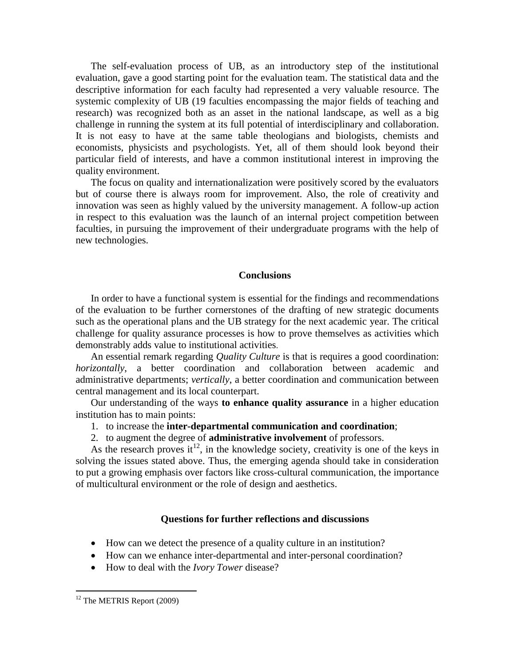The self-evaluation process of UB, as an introductory step of the institutional evaluation, gave a good starting point for the evaluation team. The statistical data and the descriptive information for each faculty had represented a very valuable resource. The systemic complexity of UB (19 faculties encompassing the major fields of teaching and research) was recognized both as an asset in the national landscape, as well as a big challenge in running the system at its full potential of interdisciplinary and collaboration. It is not easy to have at the same table theologians and biologists, chemists and economists, physicists and psychologists. Yet, all of them should look beyond their particular field of interests, and have a common institutional interest in improving the quality environment.

The focus on quality and internationalization were positively scored by the evaluators but of course there is always room for improvement. Also, the role of creativity and innovation was seen as highly valued by the university management. A follow-up action in respect to this evaluation was the launch of an internal project competition between faculties, in pursuing the improvement of their undergraduate programs with the help of new technologies.

### **Conclusions**

In order to have a functional system is essential for the findings and recommendations of the evaluation to be further cornerstones of the drafting of new strategic documents such as the operational plans and the UB strategy for the next academic year. The critical challenge for quality assurance processes is how to prove themselves as activities which demonstrably adds value to institutional activities.

An essential remark regarding *Quality Culture* is that is requires a good coordination: *horizontally*, a better coordination and collaboration between academic and administrative departments; *vertically*, a better coordination and communication between central management and its local counterpart.

Our understanding of the ways **to enhance quality assurance** in a higher education institution has to main points:

- 1. to increase the **inter-departmental communication and coordination**;
- 2. to augment the degree of **administrative involvement** of professors.

As the research proves it<sup>12</sup>, in the knowledge society, creativity is one of the keys in solving the issues stated above. Thus, the emerging agenda should take in consideration to put a growing emphasis over factors like cross-cultural communication, the importance of multicultural environment or the role of design and aesthetics.

## **Questions for further reflections and discussions**

- How can we detect the presence of a quality culture in an institution?
- How can we enhance inter-departmental and inter-personal coordination?
- How to deal with the *Ivory Tower* disease?

<sup>&</sup>lt;sup>12</sup> The METRIS Report (2009)